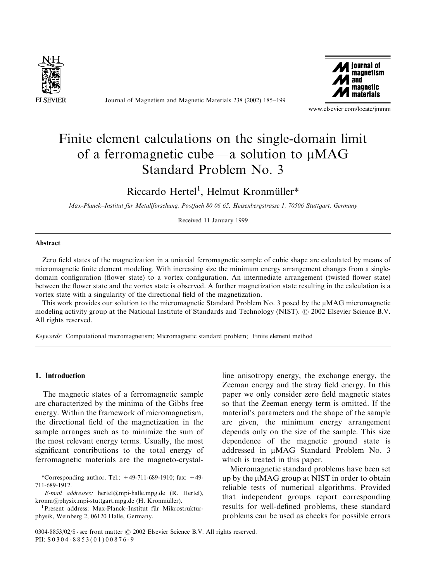

Journal of Magnetism and Magnetic Materials 238 (2002) 185–199



www.elsevier.com/locate/jmmm

# Finite element calculations on the single-domain limit of a ferromagnetic cube—a solution to  $\mu$ MAG Standard Problem No. 3

Riccardo Hertel<sup>1</sup>, Helmut Kronmüller\*

Max-Planck–Institut für Metallforschung, Postfach 80 06 65, Heisenbergstrasse 1, 70506 Stuttgart, Germany

Received 11 January 1999

## Abstract

Zero field states of the magnetization in a uniaxial ferromagnetic sample of cubic shape are calculated by means of micromagnetic finite element modeling. With increasing size the minimum energy arrangement changes from a singledomain configuration (flower state) to a vortex configuration. An intermediate arrangement (twisted flower state) between the flower state and the vortex state is observed. Afurther magnetization state resulting in the calculation is a vortex state with a singularity of the directional field of the magnetization.

This work provides our solution to the micromagnetic Standard Problem No. 3 posed by the  $\mu$ MAG micromagnetic modeling activity group at the National Institute of Standards and Technology (NIST). © 2002 Elsevier Science B.V. All rights reserved.

Keywords: Computational micromagnetism; Micromagnetic standard problem; Finite element method

## 1. Introduction

The magnetic states of a ferromagnetic sample are characterized by the minima of the Gibbs free energy. Within the framework of micromagnetism, the directional field of the magnetization in the sample arranges such as to minimize the sum of the most relevant energy terms. Usually, the most significant contributions to the total energy of ferromagnetic materials are the magneto-crystal-

line anisotropy energy, the exchange energy, the Zeeman energy and the stray field energy. In this paper we only consider zero field magnetic states so that the Zeeman energy term is omitted. If the material's parameters and the shape of the sample are given, the minimum energy arrangement depends only on the size of the sample. This size dependence of the magnetic ground state is addressed in µMAG Standard Problem No. 3 which is treated in this paper.

Micromagnetic standard problems have been set up by the  $\mu$ MAG group at NIST in order to obtain reliable tests of numerical algorithms. Provided that independent groups report corresponding results for well-defined problems, these standard problems can be used as checks for possible errors

<sup>\*</sup>Corresponding author. Tel.: +49-711-689-1910; fax: +49- 711-689-1912.

E-mail addresses: hertel@mpi-halle.mpg.de (R. Hertel), kronm@physix.mpi-stuttgart.mpg.de (H. Kronmüller).<br><sup>1</sup>Present address: Max-Planck–Institut für Mikrostruktur-

physik, Weinberg 2, 06120 Halle, Germany.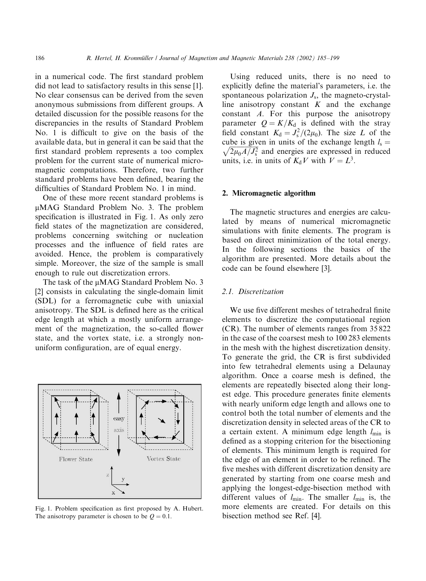in a numerical code. The first standard problem did not lead to satisfactory results in this sense [1]. No clear consensus can be derived from the seven anonymous submissions from different groups. A detailed discussion for the possible reasons for the discrepancies in the results of Standard Problem No. 1 is difficult to give on the basis of the available data, but in general it can be said that the first standard problem represents a too complex problem for the current state of numerical micromagnetic computations. Therefore, two further standard problems have been defined, bearing the difficulties of Standard Problem No. 1 in mind.

One of these more recent standard problems is mMAG Standard Problem No. 3. The problem specification is illustrated in Fig. 1. As only zero field states of the magnetization are considered, problems concerning switching or nucleation processes and the influence of field rates are avoided. Hence, the problem is comparatively simple. Moreover, the size of the sample is small enough to rule out discretization errors.

The task of the  $\mu$ MAG Standard Problem No. 3 [2] consists in calculating the single-domain limit (SDL) for a ferromagnetic cube with uniaxial anisotropy. The SDL is defined here as the critical edge length at which a mostly uniform arrangement of the magnetization, the so-called flower state, and the vortex state, i.e. a strongly nonuniform configuration, are of equal energy.



Fig. 1. Problem specification as first proposed by A. Hubert. The anisotropy parameter is chosen to be  $Q = 0.1$ .

Using reduced units, there is no need to explicitly define the material's parameters, i.e. the spontaneous polarization  $J_s$ , the magneto-crystalline anisotropy constant  $K$  and the exchange constant A: For this purpose the anisotropy parameter  $Q = K/K_d$  is defined with the stray field constant  $K_d = J_s^2/(2\mu_0)$ . The size L of the cube is given in units of the exchange length  $l_s =$ cabe is given in aims or the exeminge length  $i_s = \sqrt{2\mu_0 A/J_s^2}$  and energies are expressed in reduced units, i.e. in units of  $K_dV$  with  $V = L^3$ .

#### 2. Micromagnetic algorithm

The magnetic structures and energies are calculated by means of numerical micromagnetic simulations with finite elements. The program is based on direct minimization of the total energy. In the following sections the basics of the algorithm are presented. More details about the code can be found elsewhere [3].

## 2.1. Discretization

We use five different meshes of tetrahedral finite elements to discretize the computational region (CR). The number of elements ranges from 35 822 in the case of the coarsest mesh to 100 283 elements in the mesh with the highest discretization density. To generate the grid, the CR is first subdivided into few tetrahedral elements using a Delaunay algorithm. Once a coarse mesh is defined, the elements are repeatedly bisected along their longest edge. This procedure generates finite elements with nearly uniform edge length and allows one to control both the total number of elements and the discretization density in selected areas of the CR to a certain extent. A minimum edge length  $l_{\min}$  is defined as a stopping criterion for the bisectioning of elements. This minimum length is required for the edge of an element in order to be refined. The five meshes with different discretization density are generated by starting from one coarse mesh and applying the longest-edge-bisection method with different values of  $l_{\min}$ . The smaller  $l_{\min}$  is, the more elements are created. For details on this bisection method see Ref. [4].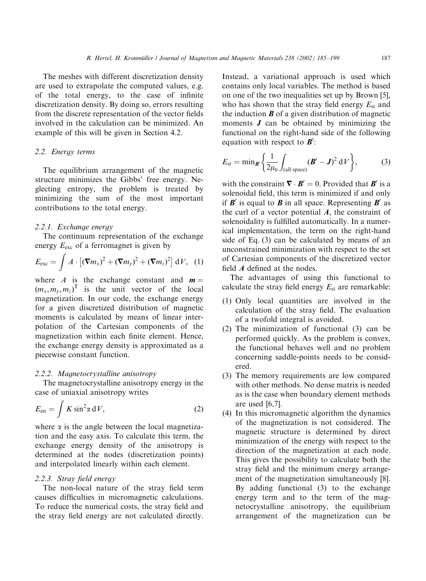The meshes with different discretization density are used to extrapolate the computed values, e.g. of the total energy, to the case of infinite discretization density. By doing so, errors resulting from the discrete representation of the vector fields involved in the calculation can be minimized. An example of this will be given in Section 4.2.

## 2.2. Energy terms

The equilibrium arrangement of the magnetic structure minimizes the Gibbs' free energy. Neglecting entropy, the problem is treated by minimizing the sum of the most important contributions to the total energy.

## 2.2.1. Exchange energy

The continuum representation of the exchange energy  $E_{\text{exc}}$  of a ferromagnet is given by

$$
E_{\rm exc} = \int A \cdot \left[ (\nabla m_x)^2 + (\nabla m_y)^2 + (\nabla m_z)^2 \right] dV, \quad (1)
$$

where A is the exchange constant and  $m =$  $(m_x, m_y, m_z)^T$  is the unit vector of the local magnetization. In our code, the exchange energy for a given discretized distribution of magnetic moments is calculated by means of linear interpolation of the Cartesian components of the magnetization within each finite element. Hence, the exchange energy density is approximated as a piecewise constant function.

## 2.2.2. Magnetocrystalline anisotropy

The magnetocrystalline anisotropy energy in the case of uniaxial anisotropy writes

$$
E_{\rm an} = \int K \sin^2 \alpha \, dV, \tag{2}
$$

where  $\alpha$  is the angle between the local magnetization and the easy axis. To calculate this term, the exchange energy density of the anisotropy is determined at the nodes (discretization points) and interpolated linearly within each element.

# 2.2.3. Stray field energy

The non-local nature of the stray field term causes difficulties in micromagnetic calculations. To reduce the numerical costs, the stray field and the stray field energy are not calculated directly.

Instead, a variational approach is used which contains only local variables. The method is based on one of the two inequalities set up by Brown [5], who has shown that the stray field energy  $E_{st}$  and the induction  $\boldsymbol{B}$  of a given distribution of magnetic moments  $J$  can be obtained by minimizing the functional on the right-hand side of the following equation with respect to  $B'$ :

$$
E_{\rm st} = \min_{\mathbf{B}'} \left\{ \frac{1}{2\mu_0} \int_{\text{(all space)}} (\mathbf{B}' - \mathbf{J})^2 \, \mathrm{d}V \right\},\tag{3}
$$

with the constraint  $\nabla \cdot \mathbf{B}' = 0$ . Provided that  $\mathbf{B}'$  is a solenoidal field, this term is minimized if and only if  $\mathbf{B}'$  is equal to  $\mathbf{B}$  in all space. Representing  $\mathbf{B}'$  as the curl of a vector potential  $A$ , the constraint of solenoidality is fulfilled automatically. In a numerical implementation, the term on the right-hand side of Eq. (3) can be calculated by means of an unconstrained minimization with respect to the set of Cartesian components of the discretized vector field A defined at the nodes.

The advantages of using this functional to calculate the stray field energy  $E_{st}$  are remarkable:

- (1) Only local quantities are involved in the calculation of the stray field. The evaluation of a twofold integral is avoided.
- (2) The minimization of functional (3) can be performed quickly. As the problem is convex, the functional behaves well and no problem concerning saddle-points needs to be considered.
- (3) The memory requirements are low compared with other methods. No dense matrix is needed as is the case when boundary element methods are used [6,7].
- (4) In this micromagnetic algorithm the dynamics of the magnetization is not considered. The magnetic structure is determined by direct minimization of the energy with respect to the direction of the magnetization at each node. This gives the possibility to calculate both the stray field and the minimum energy arrangement of the magnetization simultaneously [8]. By adding functional (3) to the exchange energy term and to the term of the magnetocrystalline anisotropy, the equilibrium arrangement of the magnetization can be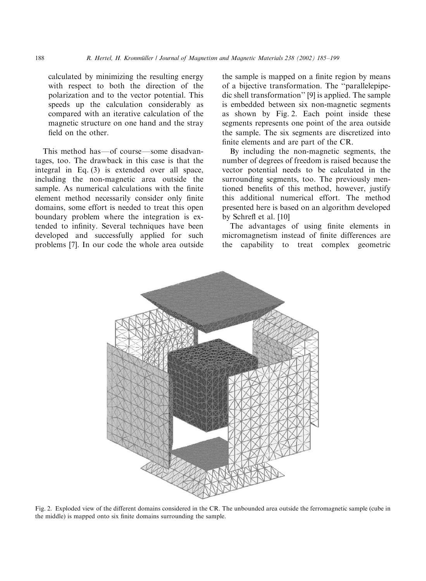calculated by minimizing the resulting energy with respect to both the direction of the polarization and to the vector potential. This speeds up the calculation considerably as compared with an iterative calculation of the magnetic structure on one hand and the stray field on the other.

This method has—of course—some disadvantages, too. The drawback in this case is that the integral in Eq. (3) is extended over all space, including the non-magnetic area outside the sample. As numerical calculations with the finite element method necessarily consider only finite domains, some effort is needed to treat this open boundary problem where the integration is extended to infinity. Several techniques have been developed and successfully applied for such problems [7]. In our code the whole area outside the sample is mapped on a finite region by means of a bijective transformation. The ''parallelepipedic shell transformation'' [9] is applied. The sample is embedded between six non-magnetic segments as shown by Fig. 2. Each point inside these segments represents one point of the area outside the sample. The six segments are discretized into finite elements and are part of the CR.

By including the non-magnetic segments, the number of degrees of freedom is raised because the vector potential needs to be calculated in the surrounding segments, too. The previously mentioned benefits of this method, however, justify this additional numerical effort. The method presented here is based on an algorithm developed by Schrefl et al. [10]

The advantages of using finite elements in micromagnetism instead of finite differences are the capability to treat complex geometric



Fig. 2. Exploded view of the different domains considered in the CR. The unbounded area outside the ferromagnetic sample (cube in the middle) is mapped onto six finite domains surrounding the sample.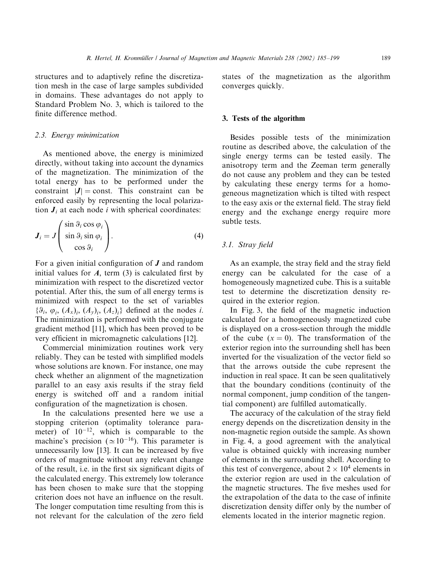structures and to adaptively refine the discretization mesh in the case of large samples subdivided in domains. These advantages do not apply to Standard Problem No. 3, which is tailored to the finite difference method.

# 2.3. Energy minimization

As mentioned above, the energy is minimized directly, without taking into account the dynamics of the magnetization. The minimization of the total energy has to be performed under the constraint  $|J|$  = const. This constraint can be enforced easily by representing the local polarization  $J_i$  at each node i with spherical coordinates:

$$
\boldsymbol{J}_i = J \begin{pmatrix} \sin \vartheta_i \cos \varphi_i \\ \sin \vartheta_i \sin \varphi_i \\ \cos \vartheta_i \end{pmatrix} . \tag{4}
$$

For a given initial configuration of  $J$  and random initial values for  $A$ , term (3) is calculated first by minimization with respect to the discretized vector potential. After this, the sum of all energy terms is minimized with respect to the set of variables  $\{\vartheta_i, \varphi_i, (A_x)_i, (A_y)_i, (A_z)_i\}$  defined at the nodes i. The minimization is performed with the conjugate gradient method [11], which has been proved to be very efficient in micromagnetic calculations [12].

Commercial minimization routines work very reliably. They can be tested with simplified models whose solutions are known. For instance, one may check whether an alignment of the magnetization parallel to an easy axis results if the stray field energy is switched off and a random initial configuration of the magnetization is chosen.

In the calculations presented here we use a stopping criterion (optimality tolerance parameter) of  $10^{-12}$ , which is comparable to the machine's precision ( $\simeq 10^{-16}$ ). This parameter is unnecessarily low [13]. It can be increased by five orders of magnitude without any relevant change of the result, i.e. in the first six significant digits of the calculated energy. This extremely low tolerance has been chosen to make sure that the stopping criterion does not have an influence on the result. The longer computation time resulting from this is not relevant for the calculation of the zero field

states of the magnetization as the algorithm converges quickly.

#### 3. Tests of the algorithm

Besides possible tests of the minimization routine as described above, the calculation of the single energy terms can be tested easily. The anisotropy term and the Zeeman term generally do not cause any problem and they can be tested by calculating these energy terms for a homogeneous magnetization which is tilted with respect to the easy axis or the external field. The stray field energy and the exchange energy require more subtle tests.

## 3.1. Stray field

As an example, the stray field and the stray field energy can be calculated for the case of a homogeneously magnetized cube. This is a suitable test to determine the discretization density required in the exterior region.

In Fig. 3, the field of the magnetic induction calculated for a homogeneously magnetized cube is displayed on a cross-section through the middle of the cube  $(x = 0)$ . The transformation of the exterior region into the surrounding shell has been inverted for the visualization of the vector field so that the arrows outside the cube represent the induction in real space. It can be seen qualitatively that the boundary conditions (continuity of the normal component, jump condition of the tangential component) are fulfilled automatically.

The accuracy of the calculation of the stray field energy depends on the discretization density in the non-magnetic region outside the sample. As shown in Fig. 4, a good agreement with the analytical value is obtained quickly with increasing number of elements in the surrounding shell. According to this test of convergence, about  $2 \times 10^4$  elements in the exterior region are used in the calculation of the magnetic structures. The five meshes used for the extrapolation of the data to the case of infinite discretization density differ only by the number of elements located in the interior magnetic region.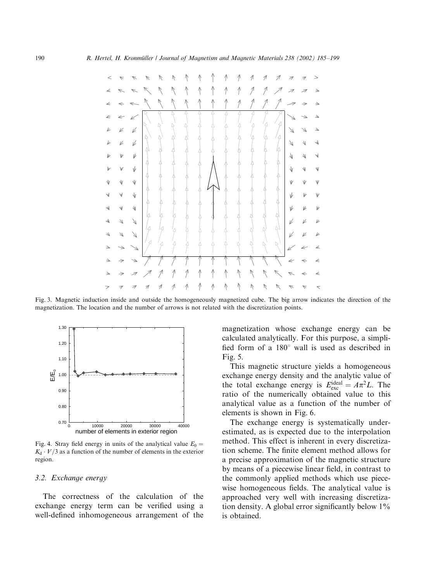

Fig. 3. Magnetic induction inside and outside the homogeneously magnetized cube. The big arrow indicates the direction of the magnetization. The location and the number of arrows is not related with the discretization points.



Fig. 4. Stray field energy in units of the analytical value  $E_0 =$  $K_d \cdot V/3$  as a function of the number of elements in the exterior region.

#### 3.2. Exchange energy

The correctness of the calculation of the exchange energy term can be verified using a well-defined inhomogeneous arrangement of the

magnetization whose exchange energy can be calculated analytically. For this purpose, a simplified form of a  $180^\circ$  wall is used as described in Fig. 5.

This magnetic structure yields a homogeneous exchange energy density and the analytic value of the total exchange energy is  $E_{\text{exc}}^{\text{ideal}} = A\pi^2 L$ . The ratio of the numerically obtained value to this analytical value as a function of the number of elements is shown in Fig. 6.

The exchange energy is systematically underestimated, as is expected due to the interpolation method. This effect is inherent in every discretization scheme. The finite element method allows for a precise approximation of the magnetic structure by means of a piecewise linear field, in contrast to the commonly applied methods which use piecewise homogeneous fields. The analytical value is approached very well with increasing discretization density. A global error significantly below  $1\%$ is obtained.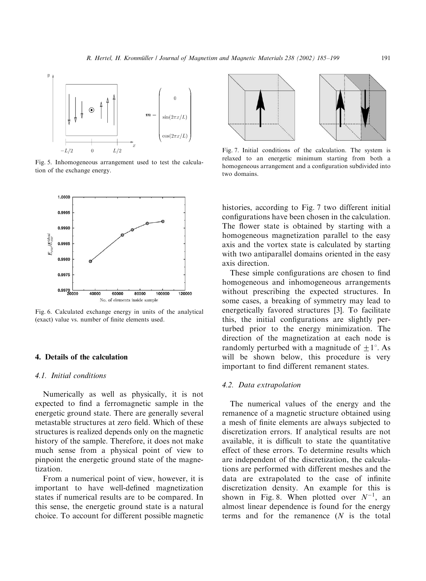

Fig. 5. Inhomogeneous arrangement used to test the calculation of the exchange energy.



Fig. 6. Calculated exchange energy in units of the analytical (exact) value vs. number of finite elements used.

# 4. Details of the calculation

## 4.1. Initial conditions

Numerically as well as physically, it is not expected to find a ferromagnetic sample in the energetic ground state. There are generally several metastable structures at zero field. Which of these structures is realized depends only on the magnetic history of the sample. Therefore, it does not make much sense from a physical point of view to pinpoint the energetic ground state of the magnetization.

From a numerical point of view, however, it is important to have well-defined magnetization states if numerical results are to be compared. In this sense, the energetic ground state is a natural choice. To account for different possible magnetic



Fig. 7. Initial conditions of the calculation. The system is relaxed to an energetic minimum starting from both a homogeneous arrangement and a configuration subdivided into two domains.

histories, according to Fig. 7 two different initial configurations have been chosen in the calculation. The flower state is obtained by starting with a homogeneous magnetization parallel to the easy axis and the vortex state is calculated by starting with two antiparallel domains oriented in the easy axis direction.

These simple configurations are chosen to find homogeneous and inhomogeneous arrangements without prescribing the expected structures. In some cases, a breaking of symmetry may lead to energetically favored structures [3]. To facilitate this, the initial configurations are slightly perturbed prior to the energy minimization. The direction of the magnetization at each node is randomly perturbed with a magnitude of  $+1^{\circ}$ . As will be shown below, this procedure is very important to find different remanent states.

#### 4.2. Data extrapolation

The numerical values of the energy and the remanence of a magnetic structure obtained using a mesh of finite elements are always subjected to discretization errors. If analytical results are not available, it is difficult to state the quantitative effect of these errors. To determine results which are independent of the discretization, the calculations are performed with different meshes and the data are extrapolated to the case of infinite discretization density. An example for this is shown in Fig. 8. When plotted over  $N^{-1}$ , an almost linear dependence is found for the energy terms and for the remanence  $(N$  is the total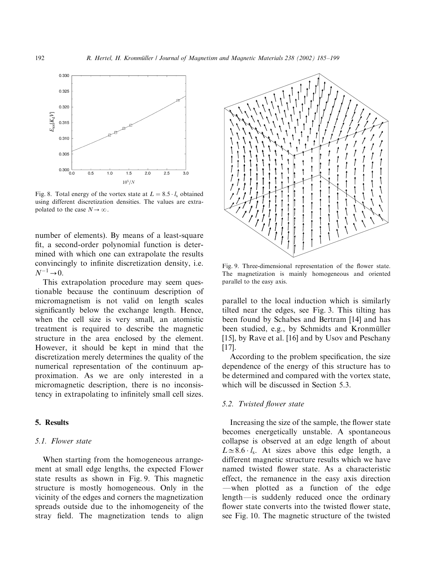

Fig. 8. Total energy of the vortex state at  $L = 8.5 \cdot l_s$  obtained using different discretization densities. The values are extrapolated to the case  $N \rightarrow \infty$ .

number of elements). By means of a least-square fit, a second-order polynomial function is determined with which one can extrapolate the results convincingly to infinite discretization density, i.e.  $N^{-1} \rightarrow 0$ .

This extrapolation procedure may seem questionable because the continuum description of micromagnetism is not valid on length scales significantly below the exchange length. Hence, when the cell size is very small, an atomistic treatment is required to describe the magnetic structure in the area enclosed by the element. However, it should be kept in mind that the discretization merely determines the quality of the numerical representation of the continuum approximation. As we are only interested in a micromagnetic description, there is no inconsistency in extrapolating to infinitely small cell sizes.

## 5. Results

## 5.1. Flower state

When starting from the homogeneous arrangement at small edge lengths, the expected Flower state results as shown in Fig. 9. This magnetic structure is mostly homogeneous. Only in the vicinity of the edges and corners the magnetization spreads outside due to the inhomogeneity of the stray field. The magnetization tends to align



Fig. 9. Three-dimensional representation of the flower state. The magnetization is mainly homogeneous and oriented parallel to the easy axis.

parallel to the local induction which is similarly tilted near the edges, see Fig. 3. This tilting has been found by Schabes and Bertram [14] and has been studied, e.g., by Schmidts and Kronmüller [15], by Rave et al. [16] and by Usov and Peschany [17].

According to the problem specification, the size dependence of the energy of this structure has to be determined and compared with the vortex state, which will be discussed in Section 5.3.

## 5.2. Twisted flower state

Increasing the size of the sample, the flower state becomes energetically unstable. A spontaneous collapse is observed at an edge length of about  $L \approx 8.6 \cdot l_s$ . At sizes above this edge length, a different magnetic structure results which we have named twisted flower state. As a characteristic effect, the remanence in the easy axis direction -when plotted as a function of the edge  $length—is$  suddenly reduced once the ordinary flower state converts into the twisted flower state, see Fig. 10. The magnetic structure of the twisted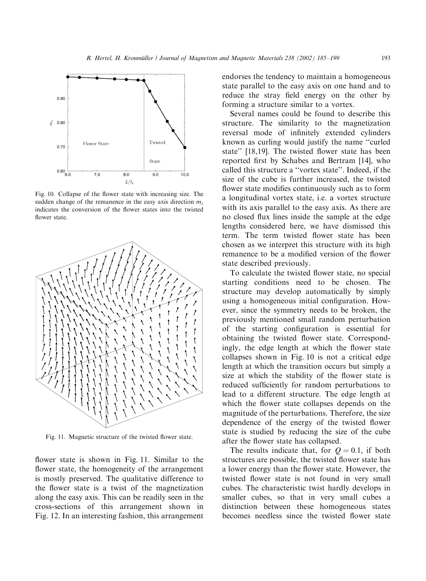

Fig. 10. Collapse of the flower state with increasing size. The sudden change of the remanence in the easy axis direction  $m<sub>z</sub>$ indicates the conversion of the flower states into the twisted flower state.



Fig. 11. Magnetic structure of the twisted flower state.

flower state is shown in Fig. 11. Similar to the flower state, the homogeneity of the arrangement is mostly preserved. The qualitative difference to the flower state is a twist of the magnetization along the easy axis. This can be readily seen in the cross-sections of this arrangement shown in Fig. 12. In an interesting fashion, this arrangement endorses the tendency to maintain a homogeneous state parallel to the easy axis on one hand and to reduce the stray field energy on the other by forming a structure similar to a vortex.

Several names could be found to describe this structure. The similarity to the magnetization reversal mode of infinitely extended cylinders known as curling would justify the name ''curled state'' [18,19]. The twisted flower state has been reported first by Schabes and Bertram [14], who called this structure a ''vortex state''. Indeed, if the size of the cube is further increased, the twisted flower state modifies continuously such as to form a longitudinal vortex state, i.e. a vortex structure with its axis parallel to the easy axis. As there are no closed flux lines inside the sample at the edge lengths considered here, we have dismissed this term. The term twisted flower state has been chosen as we interpret this structure with its high remanence to be a modified version of the flower state described previously.

To calculate the twisted flower state, no special starting conditions need to be chosen. The structure may develop automatically by simply using a homogeneous initial configuration. However, since the symmetry needs to be broken, the previously mentioned small random perturbation of the starting configuration is essential for obtaining the twisted flower state. Correspondingly, the edge length at which the flower state collapses shown in Fig. 10 is not a critical edge length at which the transition occurs but simply a size at which the stability of the flower state is reduced sufficiently for random perturbations to lead to a different structure. The edge length at which the flower state collapses depends on the magnitude of the perturbations. Therefore, the size dependence of the energy of the twisted flower state is studied by reducing the size of the cube after the flower state has collapsed.

The results indicate that, for  $Q = 0.1$ , if both structures are possible, the twisted flower state has a lower energy than the flower state. However, the twisted flower state is not found in very small cubes. The characteristic twist hardly develops in smaller cubes, so that in very small cubes a distinction between these homogeneous states becomes needless since the twisted flower state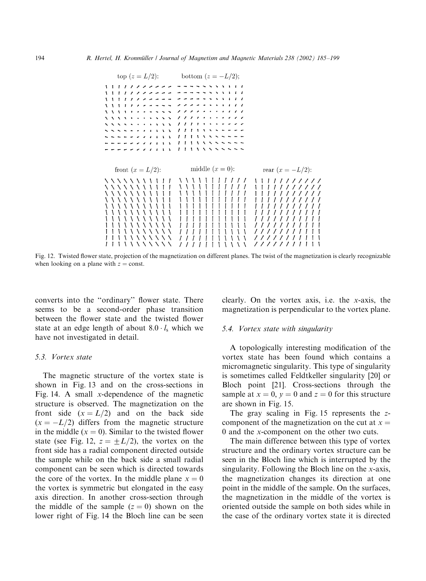top  $(z=L/2)$ : bottom  $(z=-L/2)$ ;  $111177777777$ ------------ $111112222222$  $\mathbf{A} = \mathbf{A} + \mathbf{A} + \mathbf{A} + \mathbf{A} + \mathbf{A} + \mathbf{A} + \mathbf{A} + \mathbf{A} + \mathbf{A} + \mathbf{A} + \mathbf{A} + \mathbf{A} + \mathbf{A} + \mathbf{A} + \mathbf{A} + \mathbf{A} + \mathbf{A} + \mathbf{A} + \mathbf{A} + \mathbf{A} + \mathbf{A} + \mathbf{A} + \mathbf{A} + \mathbf{A} + \mathbf{A} + \mathbf{A} + \mathbf{A} + \mathbf{A} + \mathbf{A} + \mathbf{A} + \mathbf$  $\begin{array}{ccccccccccccc} \multicolumn{2}{c}{} & \multicolumn{2}{c}{} & \multicolumn{2}{c}{} & \multicolumn{2}{c}{} & \multicolumn{2}{c}{} & \multicolumn{2}{c}{} & \multicolumn{2}{c}{} & \multicolumn{2}{c}{} & \multicolumn{2}{c}{} & \multicolumn{2}{c}{} & \multicolumn{2}{c}{} & \multicolumn{2}{c}{} & \multicolumn{2}{c}{} & \multicolumn{2}{c}{} & \multicolumn{2}{c}{} & \multicolumn{2}{c}{} & \multicolumn{2}{c}{} & \multicolumn{2}{c}{} & \multicolumn{2}{c}{} & \$ **XXXXXXXXXXXXXXXXXX** \*\*\*\*\*\*\*\*\*\*\*  $\mathbf{r}$ \*\*\*\*\*\*\*\*\*\*\*\*\*\*\*\*\* front  $(x = L/2)$ : middle  $(x=0)$ : rear  $(x = -L/2)$ : **\\\\\\\\\**IIII  $\lambda$  $\lambda$  $\lambda$  $\mathbf{I}$ 111111111  $\lambda$ **AAAAAAA111**  $\lambda$ A Ţ -1  $\mathbf{I}$ -1  $\prime$  $\prime$  $\prime$  $\mathbf{I}$ Ť J  $\prime$  $\mathbf{I}$ 11/11/11/1 A  $\mathbf{I}$  $\mathcal{L}$  $\mathbf{I}$  $\prime$ A 11/1/1/1/1  $1<sub>1</sub>$  $\mathbf{I}$  $\mathbf{I}$  $\mathcal{L}$  $\mathbf{1}$  $\mathbf{I}$  $\mathbf{I}$  $\mathbf{I}$  $\mathcal{L}_{\mathcal{L}}$  $\mathbf{1}$  $\top$  $\top$  $\lambda$  $\mathbf{1}$  $\blacksquare$  $\mathbf{I}$ -1  $\mathbf{I}$ T  $\mathcal I$  $\prime$  $\mathcal{I}$  $\mathbf{I}$  $\mathbf{1}$  $\mathbf{I}$  $\mathbf{I}$  $\mathbf{I}$ -1  $\mathcal{A}$  $\sqrt{ }$ 11111111  $\mathbf{1}$  $\mathbf{I}$ T  $\mathbf{I}$  $\mathbf{I}$ -1  $\mathbf{1}$ t  $\mathbf{I}$ া  $\prime$  $\mathbf{I}$  $\mathbf{I}$  $\sqrt{ }$ 1111111  $\prime$  $\prime$  $\lambda$  $\mathbf{I}$  $111$ -1 - 1 - 1 -1 -1 -1 -1  $\prime$  $\prime$  $\prime$  $1111111111$  $\mathbf{I}$  $\mathbf{I}$  $\Delta$  $\mathbf{I}$  $\mathbf{I}$  $\mathbf{I}$  $\mathbf{I}$  $\mathbf{I}$  $\mathbf{I}$  $\mathbf{I}$  $\mathbf{I}$  $1<sub>1</sub>$  $\mathcal{L}$ L **IIIIIII**  $\setminus$  $111$  $\mathbf{I}$  $\perp$  $11111$  $\prime$  $\prime$  $\prime$ J  $\Delta$  $\mathbf{I}$  $111111111$ 77711111111111 777711111111  $\mathbf{I}$ 

Fig. 12. Twisted flower state, projection of the magnetization on different planes. The twist of the magnetization is clearly recognizable when looking on a plane with  $z = const.$ 

converts into the ''ordinary'' flower state. There seems to be a second-order phase transition between the flower state and the twisted flower state at an edge length of about  $8.0 \cdot l_s$  which we have not investigated in detail.

#### 5.3. Vortex state

The magnetic structure of the vortex state is shown in Fig. 13 and on the cross-sections in Fig. 14. A small x-dependence of the magnetic structure is observed. The magnetization on the front side  $(x = L/2)$  and on the back side  $(x = -L/2)$  differs from the magnetic structure in the middle  $(x = 0)$ . Similar to the twisted flower state (see Fig. 12,  $z = \pm L/2$ ), the vortex on the front side has a radial component directed outside the sample while on the back side a small radial component can be seen which is directed towards the core of the vortex. In the middle plane  $x = 0$ the vortex is symmetric but elongated in the easy axis direction. In another cross-section through the middle of the sample  $(z = 0)$  shown on the lower right of Fig. 14 the Bloch line can be seen

clearly. On the vortex axis, i.e. the x-axis, the magnetization is perpendicular to the vortex plane.

### 5.4. Vortex state with singularity

Atopologically interesting modification of the vortex state has been found which contains a micromagnetic singularity. This type of singularity is sometimes called Feldtkeller singularity [20] or Bloch point [21]. Cross-sections through the sample at  $x = 0$ ,  $y = 0$  and  $z = 0$  for this structure are shown in Fig. 15.

The gray scaling in Fig. 15 represents the zcomponent of the magnetization on the cut at  $x =$ 0 and the x-component on the other two cuts.

The main difference between this type of vortex structure and the ordinary vortex structure can be seen in the Bloch line which is interrupted by the singularity. Following the Bloch line on the  $x$ -axis, the magnetization changes its direction at one point in the middle of the sample. On the surfaces, the magnetization in the middle of the vortex is oriented outside the sample on both sides while in the case of the ordinary vortex state it is directed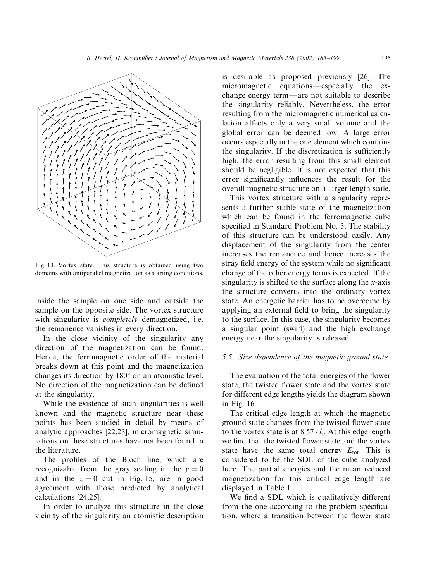

Fig. 13. Vortex state. This structure is obtained using two domains with antiparallel magnetization as starting conditions.

inside the sample on one side and outside the sample on the opposite side. The vortex structure with singularity is *completely* demagnetized, i.e. the remanence vanishes in every direction.

In the close vicinity of the singularity any direction of the magnetization can be found. Hence, the ferromagnetic order of the material breaks down at this point and the magnetization changes its direction by  $180^{\circ}$  on an atomistic level. No direction of the magnetization can be defined at the singularity.

While the existence of such singularities is well known and the magnetic structure near these points has been studied in detail by means of analytic approaches [22,23], micromagnetic simulations on these structures have not been found in the literature.

The profiles of the Bloch line, which are recognizable from the gray scaling in the  $y = 0$ and in the  $z = 0$  cut in Fig. 15, are in good agreement with those predicted by analytical calculations [24,25].

In order to analyze this structure in the close vicinity of the singularity an atomistic description is desirable as proposed previously [26]. The micromagnetic equations—especially the exchange energy term-are not suitable to describe the singularity reliably. Nevertheless, the error resulting from the micromagnetic numerical calculation affects only a very small volume and the global error can be deemed low. Alarge error occurs especially in the one element which contains the singularity. If the discretization is sufficiently high, the error resulting from this small element should be negligible. It is not expected that this error significantly influences the result for the overall magnetic structure on a larger length scale.

This vortex structure with a singularity represents a further stable state of the magnetization which can be found in the ferromagnetic cube specified in Standard Problem No. 3. The stability of this structure can be understood easily. Any displacement of the singularity from the center increases the remanence and hence increases the stray field energy of the system while no significant change of the other energy terms is expected. If the singularity is shifted to the surface along the  $x$ -axis the structure converts into the ordinary vortex state. An energetic barrier has to be overcome by applying an external field to bring the singularity to the surface. In this case, the singularity becomes a singular point (swirl) and the high exchange energy near the singularity is released.

## 5.5. Size dependence of the magnetic ground state

The evaluation of the total energies of the flower state, the twisted flower state and the vortex state for different edge lengths yields the diagram shown in Fig. 16.

The critical edge length at which the magnetic ground state changes from the twisted flower state to the vortex state is at  $8.57 \cdot l_s$ . At this edge length we find that the twisted flower state and the vortex state have the same total energy  $E_{\text{tot}}$ . This is considered to be the SDL of the cube analyzed here. The partial energies and the mean reduced magnetization for this critical edge length are displayed in Table 1.

We find a SDL which is qualitatively different from the one according to the problem specification, where a transition between the flower state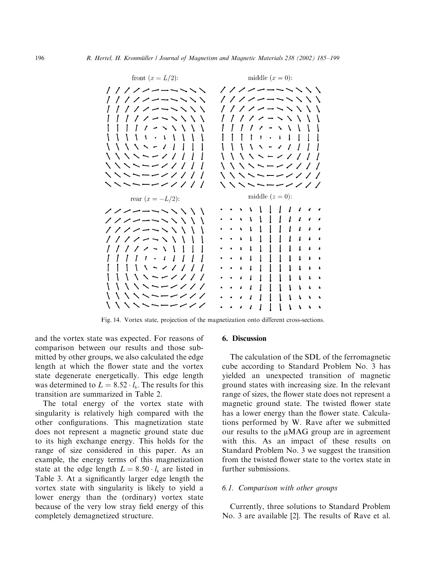

Fig. 14. Vortex state, projection of the magnetization onto different cross-sections.

and the vortex state was expected. For reasons of comparison between our results and those submitted by other groups, we also calculated the edge length at which the flower state and the vortex state degenerate energetically. This edge length was determined to  $L = 8.52 \cdot l_s$ . The results for this transition are summarized in Table 2.

The total energy of the vortex state with singularity is relatively high compared with the other configurations. This magnetization state does not represent a magnetic ground state due to its high exchange energy. This holds for the range of size considered in this paper. As an example, the energy terms of this magnetization state at the edge length  $L = 8.50 \cdot l_s$  are listed in Table 3. At a significantly larger edge length the vortex state with singularity is likely to yield a lower energy than the (ordinary) vortex state because of the very low stray field energy of this completely demagnetized structure.

#### 6. Discussion

The calculation of the SDL of the ferromagnetic cube according to Standard Problem No. 3 has yielded an unexpected transition of magnetic ground states with increasing size. In the relevant range of sizes, the flower state does not represent a magnetic ground state. The twisted flower state has a lower energy than the flower state. Calculations performed by W. Rave after we submitted our results to the  $\mu$ MAG group are in agreement with this. As an impact of these results on Standard Problem No. 3 we suggest the transition from the twisted flower state to the vortex state in further submissions.

### 6.1. Comparison with other groups

Currently, three solutions to Standard Problem No. 3 are available [2]. The results of Rave et al.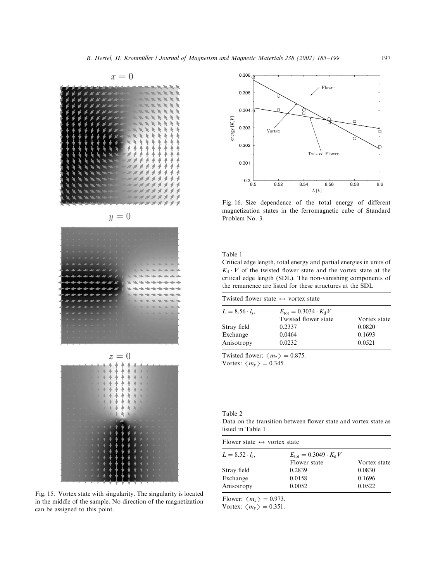



 $y=0$ 



Fig. 15. Vortex state with singularity. The singularity is located in the middle of the sample. No direction of the magnetization can be assigned to this point.



Fig. 16. Size dependence of the total energy of different magnetization states in the ferromagnetic cube of Standard Problem No. 3.

Table 1

Critical edge length, total energy and partial energies in units of  $K_d \cdot V$  of the twisted flower state and the vortex state at the critical edge length (SDL). The non-vanishing components of the remanence are listed for these structures at the SDL

| Twisted flower state $\leftrightarrow$ vortex state |                                          |              |  |
|-----------------------------------------------------|------------------------------------------|--------------|--|
| $L = 8.56 \cdot l_s$                                | $E_{\rm tot} = 0.3034 \cdot K_{\rm d} V$ |              |  |
|                                                     | Twisted flower state                     | Vortex state |  |
| Stray field                                         | 0.2337                                   | 0.0820       |  |
| Exchange                                            | 0.0464                                   | 0.1693       |  |
| Anisotropy                                          | 0.0232                                   | 0.0521       |  |

Twisted flower:  $\langle m_z \rangle = 0.875$ . Vortex:  $\langle m_v \rangle = 0.345$ .

Table 2 Data on the transition between flower state and vortex state as listed in Table 1

| Flower state $\leftrightarrow$ vortex state |                                       |              |  |
|---------------------------------------------|---------------------------------------|--------------|--|
| $L = 8.52 \cdot l_s$                        | $E_{\text{tot}} = 0.3049 \cdot K_d V$ |              |  |
|                                             | Flower state                          | Vortex state |  |
| Stray field                                 | 0.2839                                | 0.0830       |  |
| Exchange                                    | 0.0158                                | 0.1696       |  |
| Anisotropy                                  | 0.0052                                | 0.0522       |  |

Flower:  $\langle m_z \rangle = 0.973$ .

Vortex:  $\langle m_y \rangle = 0.351$ .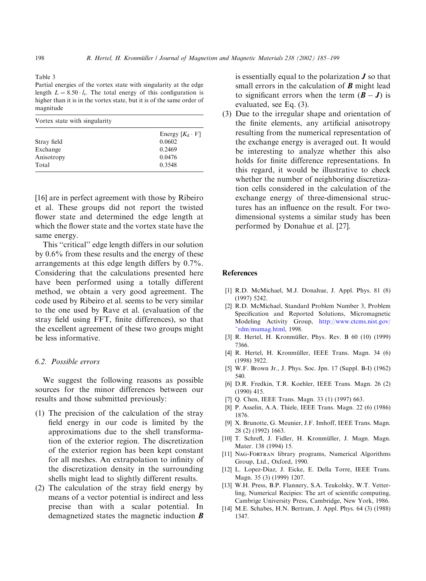Table 3

Partial energies of the vortex state with singularity at the edge length  $L = 8.50 \cdot l_s$ . The total energy of this configuration is higher than it is in the vortex state, but it is of the same order of magnitude

| Vortex state with singularity |                        |
|-------------------------------|------------------------|
|                               | Energy $[K_d \cdot V]$ |
| Stray field                   | 0.0602                 |
| Exchange                      | 0.2469                 |
| Anisotropy                    | 0.0476                 |
| Total                         | 0.3548                 |

[16] are in perfect agreement with those by Ribeiro et al. These groups did not report the twisted flower state and determined the edge length at which the flower state and the vortex state have the same energy.

This ''critical'' edge length differs in our solution by 0.6% from these results and the energy of these arrangements at this edge length differs by 0.7%. Considering that the calculations presented here have been performed using a totally different method, we obtain a very good agreement. The code used by Ribeiro et al. seems to be very similar to the one used by Rave et al. (evaluation of the stray field using FFT, finite differences), so that the excellent agreement of these two groups might be less informative.

# 6.2. Possible errors

We suggest the following reasons as possible sources for the minor differences between our results and those submitted previously:

- (1) The precision of the calculation of the stray field energy in our code is limited by the approximations due to the shell transformation of the exterior region. The discretization of the exterior region has been kept constant for all meshes. An extrapolation to infinity of the discretization density in the surrounding shells might lead to slightly different results.
- (2) The calculation of the stray field energy by means of a vector potential is indirect and less precise than with a scalar potential. In demagnetized states the magnetic induction B

is essentially equal to the polarization  $J$  so that small errors in the calculation of  $\boldsymbol{B}$  might lead to significant errors when the term  $(B - J)$  is evaluated, see Eq. (3).

(3) Due to the irregular shape and orientation of the finite elements, any artificial anisotropy resulting from the numerical representation of the exchange energy is averaged out. It would be interesting to analyze whether this also holds for finite difference representations. In this regard, it would be illustrative to check whether the number of neighboring discretization cells considered in the calculation of the exchange energy of three-dimensional structures has an influence on the result. For twodimensional systems a similar study has been performed by Donahue et al. [27].

#### References

- [1] [R.D. McMichael,](http://www.ctcms.nist.gov/~rdm/mumag.html) M.J. Donahue, J. Appl. Phys. 81 (8) (1997) 5242.
- [2] R.D. McMichael, Standard Problem Number 3, Problem Specification and Reported Solutions, Micromagnetic Modeling Activity Group, http://www.ctcms.nist.gov/ ~rdm/mumag.html, 1998.
- [3] R. Hertel, H. Kronmüller, Phys. Rev. B 60 (10) (1999). 7366.
- [4] R. Hertel, H. Kronmüller, IEEE Trans. Magn. 34 (6) (1998) 3922.
- [5] W.F. Brown Jr., J. Phys. Soc. Jpn. 17 (Suppl. B-I) (1962) 540.
- [6] D.R. Fredkin, T.R. Koehler, IEEE Trans. Magn. 26 (2) (1990) 415.
- [7] Q. Chen, IEEE Trans. Magn. 33 (1) (1997) 663.
- [8] P. Asselin, A.A. Thiele, IEEE Trans. Magn. 22 (6) (1986) 1876.
- [9] X. Brunotte, G. Meunier, J.F. Imhoff, IEEE Trans. Magn. 28 (2) (1992) 1663.
- [10] T. Schrefl, J. Fidler, H. Kronmüller, J. Magn. Magn. Mater. 138 (1994) 15.
- [11] NAG-FORTRAN library programs, Numerical Algorithms Group, Ltd., Oxford, 1990.
- [12] L. Lopez-Diaz, J. Eicke, E. Della Torre, IEEE Trans. Magn. 35 (3) (1999) 1207.
- [13] W.H. Press, B.P. Flannery, S.A. Teukolsky, W.T. Vetterling, Numerical Recipies: The art of scientific computing, Cambrige University Press, Cambridge, New York, 1986.
- [14] M.E. Schabes, H.N. Bertram, J. Appl. Phys. 64 (3) (1988) 1347.